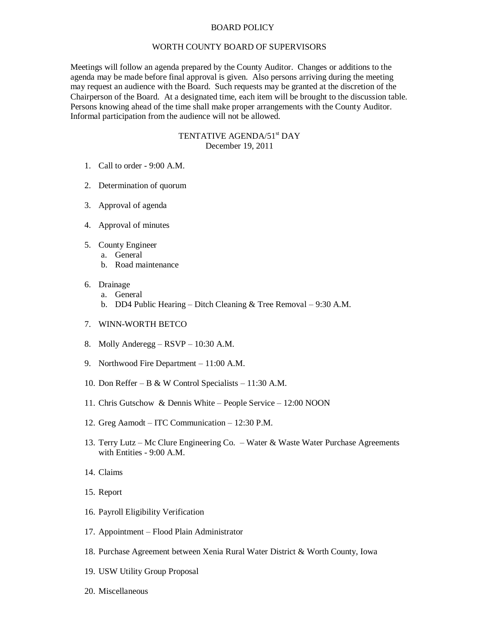## BOARD POLICY

## WORTH COUNTY BOARD OF SUPERVISORS

Meetings will follow an agenda prepared by the County Auditor. Changes or additions to the agenda may be made before final approval is given. Also persons arriving during the meeting may request an audience with the Board. Such requests may be granted at the discretion of the Chairperson of the Board. At a designated time, each item will be brought to the discussion table. Persons knowing ahead of the time shall make proper arrangements with the County Auditor. Informal participation from the audience will not be allowed.

## TENTATIVE AGENDA/51<sup>st</sup> DAY December 19, 2011

- 1. Call to order 9:00 A.M.
- 2. Determination of quorum
- 3. Approval of agenda
- 4. Approval of minutes
- 5. County Engineer
	- a. General
		- b. Road maintenance
- 6. Drainage
	- a. General
	- b. DD4 Public Hearing Ditch Cleaning & Tree Removal 9:30 A.M.
- 7. WINN-WORTH BETCO
- 8. Molly Anderegg RSVP 10:30 A.M.
- 9. Northwood Fire Department 11:00 A.M.
- 10. Don Reffer B & W Control Specialists 11:30 A.M.
- 11. Chris Gutschow & Dennis White People Service 12:00 NOON
- 12. Greg Aamodt ITC Communication 12:30 P.M.
- 13. Terry Lutz Mc Clure Engineering Co. Water & Waste Water Purchase Agreements with Entities - 9:00 A.M.
- 14. Claims
- 15. Report
- 16. Payroll Eligibility Verification
- 17. Appointment Flood Plain Administrator
- 18. Purchase Agreement between Xenia Rural Water District & Worth County, Iowa
- 19. USW Utility Group Proposal
- 20. Miscellaneous